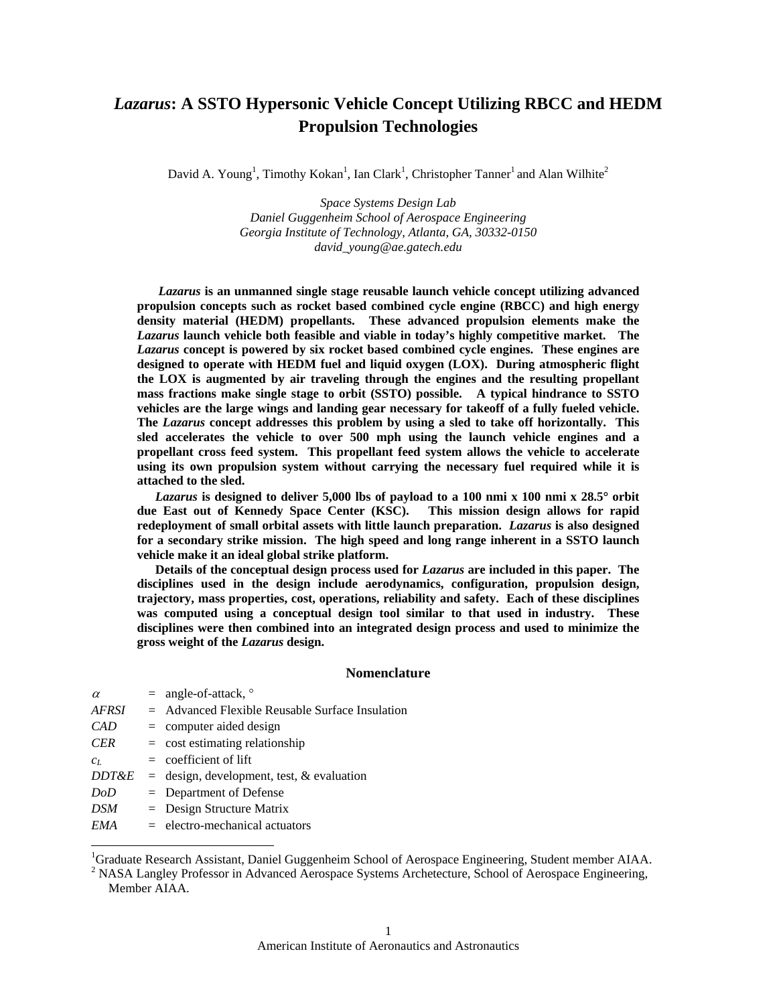# *Lazarus***: A SSTO Hypersonic Vehicle Concept Utilizing RBCC and HEDM Propulsion Technologies**

David A. Young<sup>1</sup>, Timothy Kokan<sup>1</sup>, Ian Clark<sup>1</sup>, Christopher Tanner<sup>1</sup> and Alan Wilhite<sup>2</sup>

*Space Systems Design Lab Daniel Guggenheim School of Aerospace Engineering Georgia Institute of Technology, Atlanta, GA, 30332-0150 david\_young@ae.gatech.edu* 

*Lazarus* **is an unmanned single stage reusable launch vehicle concept utilizing advanced propulsion concepts such as rocket based combined cycle engine (RBCC) and high energy density material (HEDM) propellants. These advanced propulsion elements make the**  *Lazarus* **launch vehicle both feasible and viable in today's highly competitive market. The**  *Lazarus* **concept is powered by six rocket based combined cycle engines. These engines are designed to operate with HEDM fuel and liquid oxygen (LOX). During atmospheric flight the LOX is augmented by air traveling through the engines and the resulting propellant mass fractions make single stage to orbit (SSTO) possible. A typical hindrance to SSTO vehicles are the large wings and landing gear necessary for takeoff of a fully fueled vehicle. The** *Lazarus* **concept addresses this problem by using a sled to take off horizontally. This sled accelerates the vehicle to over 500 mph using the launch vehicle engines and a propellant cross feed system. This propellant feed system allows the vehicle to accelerate using its own propulsion system without carrying the necessary fuel required while it is attached to the sled.** 

*Lazarus* **is designed to deliver 5,000 lbs of payload to a 100 nmi x 100 nmi x 28.5**° **orbit due East out of Kennedy Space Center (KSC). This mission design allows for rapid redeployment of small orbital assets with little launch preparation.** *Lazarus* **is also designed for a secondary strike mission. The high speed and long range inherent in a SSTO launch vehicle make it an ideal global strike platform.** 

**Details of the conceptual design process used for** *Lazarus* **are included in this paper. The disciplines used in the design include aerodynamics, configuration, propulsion design, trajectory, mass properties, cost, operations, reliability and safety. Each of these disciplines was computed using a conceptual design tool similar to that used in industry. These disciplines were then combined into an integrated design process and used to minimize the gross weight of the** *Lazarus* **design.** 

# **Nomenclature**

| $\alpha$         | $=$ angle-of-attack, $\circ$                      |
|------------------|---------------------------------------------------|
| <b>AFRSI</b>     | $=$ Advanced Flexible Reusable Surface Insulation |
| CAD              | $=$ computer aided design                         |
| <b>CER</b>       | $=$ cost estimating relationship                  |
| $c_L$            | $=$ coefficient of lift                           |
| <b>DDT&amp;E</b> | $=$ design, development, test, & evaluation       |
| DoD              | $=$ Department of Defense                         |
| <b>DSM</b>       | $=$ Design Structure Matrix                       |
| EMA              | $=$ electro-mechanical actuators                  |
|                  |                                                   |

1<br>
<sup>1</sup>Graduate Research Assistant, Daniel Guggenheim School of Aerospace Engineering, Student member AIAA.<br>
<sup>2</sup> NASA Langlay Professor in Advanced Aerospace Systems Arehatecture, School of Aerospace Engineering.

<sup>2</sup> NASA Langley Professor in Advanced Aerospace Systems Archetecture, School of Aerospace Engineering, Member AIAA.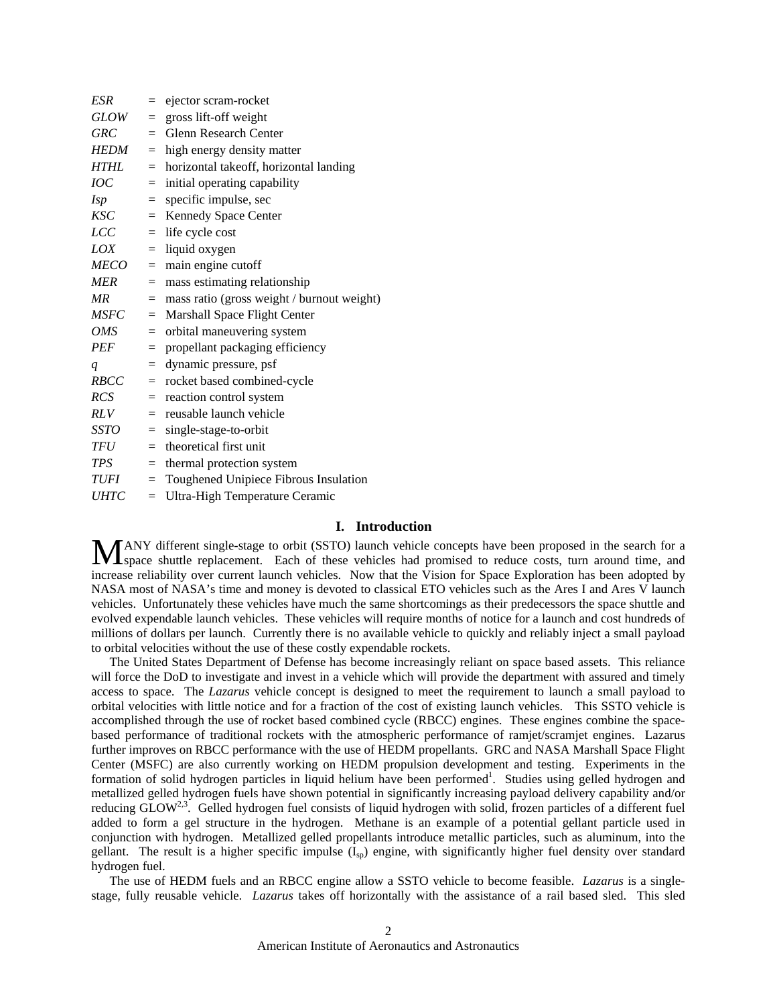| <b>ESR</b>  | $=$ | ejector scram-rocket                       |
|-------------|-----|--------------------------------------------|
| GLOW        | $=$ | gross lift-off weight                      |
| <b>GRC</b>  | $=$ | <b>Glenn Research Center</b>               |
| <b>HEDM</b> | $=$ | high energy density matter                 |
| <b>HTHL</b> | $=$ | horizontal takeoff, horizontal landing     |
| IOC         | $=$ | initial operating capability               |
| <i>Isp</i>  | $=$ | specific impulse, sec                      |
| <b>KSC</b>  | $=$ | Kennedy Space Center                       |
| LCC         | $=$ | life cycle cost                            |
| LOX         | $=$ | liquid oxygen                              |
| <i>MECO</i> | $=$ | main engine cutoff                         |
| <b>MER</b>  | $=$ | mass estimating relationship               |
| MR          | $=$ | mass ratio (gross weight / burnout weight) |
| <b>MSFC</b> | $=$ | Marshall Space Flight Center               |
| <b>OMS</b>  | $=$ | orbital maneuvering system                 |
| <b>PEF</b>  | $=$ | propellant packaging efficiency            |
| q           | $=$ | dynamic pressure, psf                      |
| <b>RBCC</b> | $=$ | rocket based combined-cycle                |
| RCS         | $=$ | reaction control system                    |
| <b>RLV</b>  | $=$ | reusable launch vehicle                    |
| SSTO        | $=$ | single-stage-to-orbit                      |
| TFU         | $=$ | theoretical first unit                     |
| TPS         | $=$ | thermal protection system                  |
| TUFI        | $=$ | Toughened Unipiece Fibrous Insulation      |
| <b>UHTC</b> | $=$ | Ultra-High Temperature Ceramic             |

# **I. Introduction**

MANY different single-stage to orbit (SSTO) launch vehicle concepts have been proposed in the search for a space shuttle replacement. Each of these vehicles had promised to reduce costs, turn around time, and space shuttle replacement. Each of these vehicles had promised to reduce costs, turn around time, and increase reliability over current launch vehicles. Now that the Vision for Space Exploration has been adopted by NASA most of NASA's time and money is devoted to classical ETO vehicles such as the Ares I and Ares V launch vehicles. Unfortunately these vehicles have much the same shortcomings as their predecessors the space shuttle and evolved expendable launch vehicles. These vehicles will require months of notice for a launch and cost hundreds of millions of dollars per launch. Currently there is no available vehicle to quickly and reliably inject a small payload to orbital velocities without the use of these costly expendable rockets.

 The United States Department of Defense has become increasingly reliant on space based assets. This reliance will force the DoD to investigate and invest in a vehicle which will provide the department with assured and timely access to space. The *Lazarus* vehicle concept is designed to meet the requirement to launch a small payload to orbital velocities with little notice and for a fraction of the cost of existing launch vehicles. This SSTO vehicle is accomplished through the use of rocket based combined cycle (RBCC) engines. These engines combine the spacebased performance of traditional rockets with the atmospheric performance of ramjet/scramjet engines. Lazarus further improves on RBCC performance with the use of HEDM propellants. GRC and NASA Marshall Space Flight Center (MSFC) are also currently working on HEDM propulsion development and testing. Experiments in the formation of solid hydrogen particles in liquid helium have been performed<sup>1</sup>. Studies using gelled hydrogen and metallized gelled hydrogen fuels have shown potential in significantly increasing payload delivery capability and/or reducing  $GLOW^{2,3}$ . Gelled hydrogen fuel consists of liquid hydrogen with solid, frozen particles of a different fuel added to form a gel structure in the hydrogen. Methane is an example of a potential gellant particle used in conjunction with hydrogen. Metallized gelled propellants introduce metallic particles, such as aluminum, into the gellant. The result is a higher specific impulse  $(I_{\rm SD})$  engine, with significantly higher fuel density over standard hydrogen fuel.

 The use of HEDM fuels and an RBCC engine allow a SSTO vehicle to become feasible. *Lazarus* is a singlestage, fully reusable vehicle. *Lazarus* takes off horizontally with the assistance of a rail based sled. This sled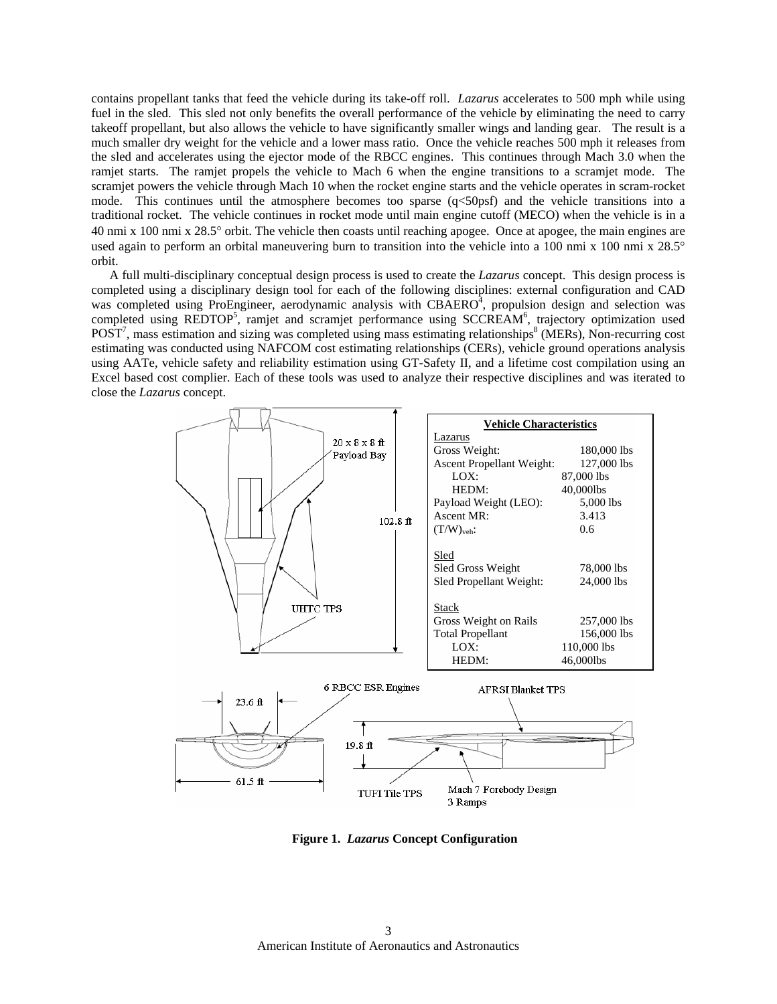contains propellant tanks that feed the vehicle during its take-off roll. *Lazarus* accelerates to 500 mph while using fuel in the sled. This sled not only benefits the overall performance of the vehicle by eliminating the need to carry takeoff propellant, but also allows the vehicle to have significantly smaller wings and landing gear. The result is a much smaller dry weight for the vehicle and a lower mass ratio. Once the vehicle reaches 500 mph it releases from the sled and accelerates using the ejector mode of the RBCC engines. This continues through Mach 3.0 when the ramjet starts. The ramjet propels the vehicle to Mach 6 when the engine transitions to a scramjet mode. The scramjet powers the vehicle through Mach 10 when the rocket engine starts and the vehicle operates in scram-rocket mode. This continues until the atmosphere becomes too sparse  $(q<50\text{psf})$  and the vehicle transitions into a traditional rocket. The vehicle continues in rocket mode until main engine cutoff (MECO) when the vehicle is in a 40 nmi x 100 nmi x 28.5° orbit. The vehicle then coasts until reaching apogee. Once at apogee, the main engines are used again to perform an orbital maneuvering burn to transition into the vehicle into a 100 nmi x 100 nmi x 28.5° orbit.

 A full multi-disciplinary conceptual design process is used to create the *Lazarus* concept. This design process is completed using a disciplinary design tool for each of the following disciplines: external configuration and CAD was completed using ProEngineer, aerodynamic analysis with  $CBAERO<sup>4</sup>$ , propulsion design and selection was completed using REDTOP<sup>5</sup>, ramjet and scramjet performance using SCCREAM<sup>6</sup>, trajectory optimization used  $POST<sup>7</sup>$ , mass estimation and sizing was completed using mass estimating relationships<sup>8</sup> (MERs), Non-recurring cost estimating was conducted using NAFCOM cost estimating relationships (CERs), vehicle ground operations analysis using AATe, vehicle safety and reliability estimation using GT-Safety II, and a lifetime cost compilation using an Excel based cost complier. Each of these tools was used to analyze their respective disciplines and was iterated to close the *Lazarus* concept.



**Figure 1.** *Lazarus* **Concept Configuration**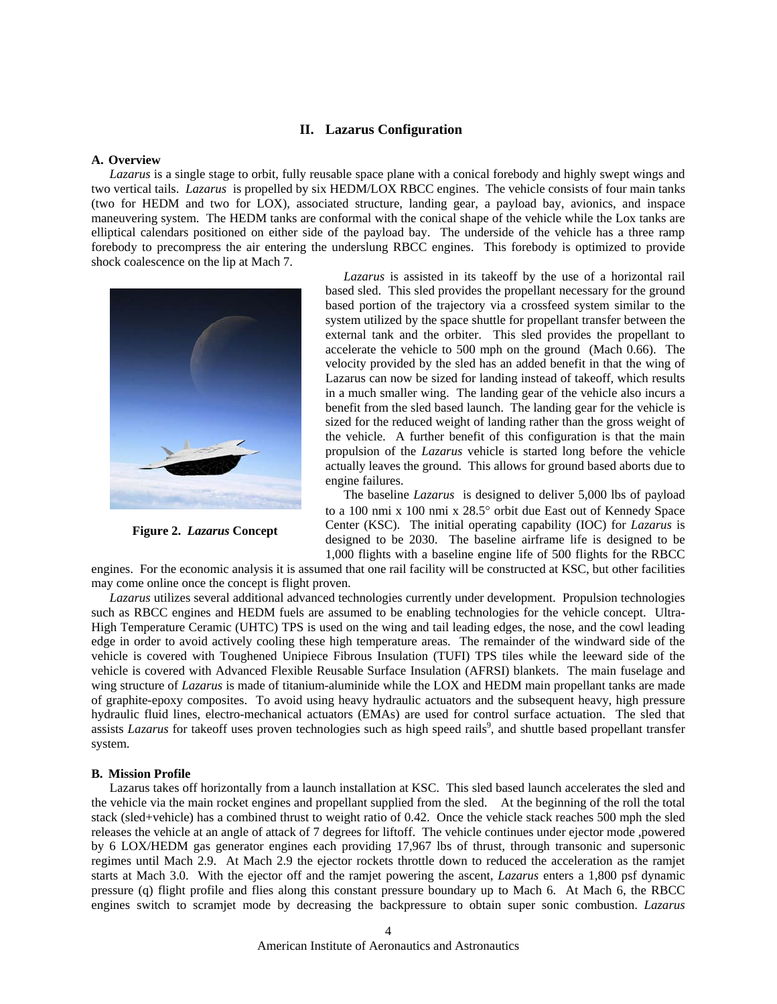# **II. Lazarus Configuration**

### **A. Overview**

*Lazarus* is a single stage to orbit, fully reusable space plane with a conical forebody and highly swept wings and two vertical tails. *Lazarus* is propelled by six HEDM/LOX RBCC engines. The vehicle consists of four main tanks (two for HEDM and two for LOX), associated structure, landing gear, a payload bay, avionics, and inspace maneuvering system. The HEDM tanks are conformal with the conical shape of the vehicle while the Lox tanks are elliptical calendars positioned on either side of the payload bay. The underside of the vehicle has a three ramp forebody to precompress the air entering the underslung RBCC engines. This forebody is optimized to provide shock coalescence on the lip at Mach 7.



**Figure 2.** *Lazarus* **Concept** 

*Lazarus* is assisted in its takeoff by the use of a horizontal rail based sled. This sled provides the propellant necessary for the ground based portion of the trajectory via a crossfeed system similar to the system utilized by the space shuttle for propellant transfer between the external tank and the orbiter. This sled provides the propellant to accelerate the vehicle to 500 mph on the ground (Mach 0.66). The velocity provided by the sled has an added benefit in that the wing of Lazarus can now be sized for landing instead of takeoff, which results in a much smaller wing. The landing gear of the vehicle also incurs a benefit from the sled based launch. The landing gear for the vehicle is sized for the reduced weight of landing rather than the gross weight of the vehicle. A further benefit of this configuration is that the main propulsion of the *Lazarus* vehicle is started long before the vehicle actually leaves the ground. This allows for ground based aborts due to engine failures.

 The baseline *Lazarus* is designed to deliver 5,000 lbs of payload to a 100 nmi x 100 nmi x 28.5° orbit due East out of Kennedy Space Center (KSC). The initial operating capability (IOC) for *Lazarus* is designed to be 2030. The baseline airframe life is designed to be 1,000 flights with a baseline engine life of 500 flights for the RBCC

engines. For the economic analysis it is assumed that one rail facility will be constructed at KSC, but other facilities may come online once the concept is flight proven.

 *Lazarus* utilizes several additional advanced technologies currently under development. Propulsion technologies such as RBCC engines and HEDM fuels are assumed to be enabling technologies for the vehicle concept. Ultra-High Temperature Ceramic (UHTC) TPS is used on the wing and tail leading edges, the nose, and the cowl leading edge in order to avoid actively cooling these high temperature areas. The remainder of the windward side of the vehicle is covered with Toughened Unipiece Fibrous Insulation (TUFI) TPS tiles while the leeward side of the vehicle is covered with Advanced Flexible Reusable Surface Insulation (AFRSI) blankets. The main fuselage and wing structure of *Lazarus* is made of titanium-aluminide while the LOX and HEDM main propellant tanks are made of graphite-epoxy composites. To avoid using heavy hydraulic actuators and the subsequent heavy, high pressure hydraulic fluid lines, electro-mechanical actuators (EMAs) are used for control surface actuation. The sled that assists *Lazarus* for takeoff uses proven technologies such as high speed rails<sup>9</sup>, and shuttle based propellant transfer system.

### **B. Mission Profile**

Lazarus takes off horizontally from a launch installation at KSC. This sled based launch accelerates the sled and the vehicle via the main rocket engines and propellant supplied from the sled. At the beginning of the roll the total stack (sled+vehicle) has a combined thrust to weight ratio of 0.42. Once the vehicle stack reaches 500 mph the sled releases the vehicle at an angle of attack of 7 degrees for liftoff. The vehicle continues under ejector mode ,powered by 6 LOX/HEDM gas generator engines each providing 17,967 lbs of thrust, through transonic and supersonic regimes until Mach 2.9. At Mach 2.9 the ejector rockets throttle down to reduced the acceleration as the ramjet starts at Mach 3.0. With the ejector off and the ramjet powering the ascent, *Lazarus* enters a 1,800 psf dynamic pressure (q) flight profile and flies along this constant pressure boundary up to Mach 6. At Mach 6, the RBCC engines switch to scramjet mode by decreasing the backpressure to obtain super sonic combustion. *Lazarus*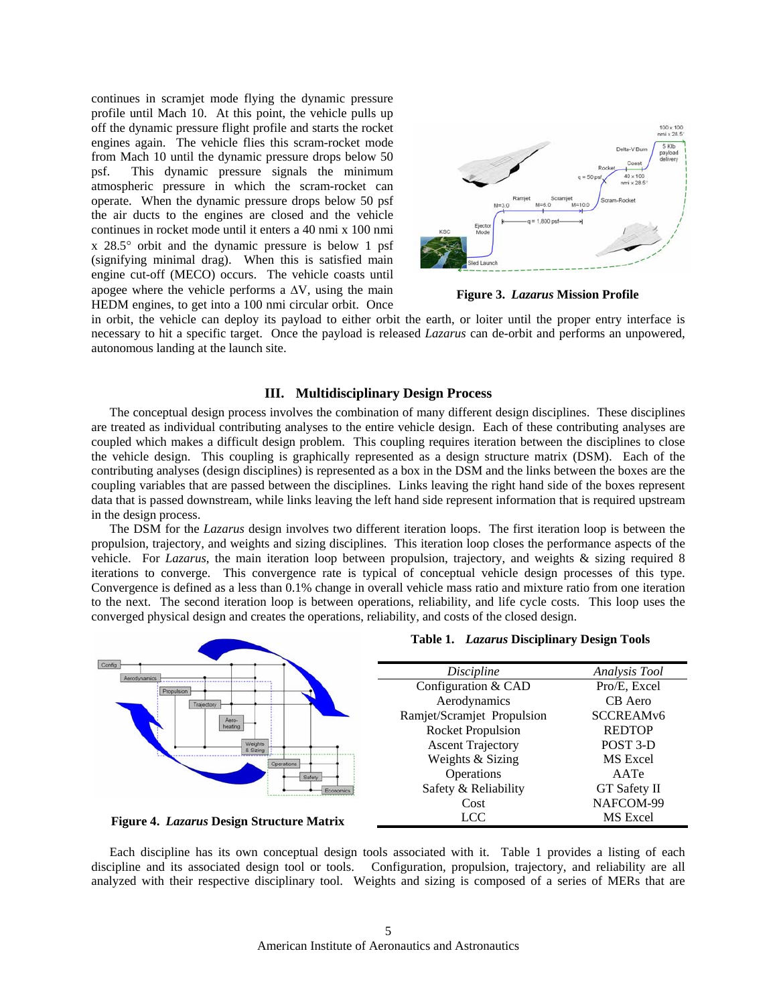continues in scramjet mode flying the dynamic pressure profile until Mach 10. At this point, the vehicle pulls up off the dynamic pressure flight profile and starts the rocket engines again. The vehicle flies this scram-rocket mode from Mach 10 until the dynamic pressure drops below 50 psf. This dynamic pressure signals the minimum atmospheric pressure in which the scram-rocket can operate. When the dynamic pressure drops below 50 psf the air ducts to the engines are closed and the vehicle continues in rocket mode until it enters a 40 nmi x 100 nmi x 28.5° orbit and the dynamic pressure is below 1 psf (signifying minimal drag). When this is satisfied main engine cut-off (MECO) occurs. The vehicle coasts until apogee where the vehicle performs a  $\Delta V$ , using the main HEDM engines, to get into a 100 nmi circular orbit. Once



**Figure 3.** *Lazarus* **Mission Profile** 

in orbit, the vehicle can deploy its payload to either orbit the earth, or loiter until the proper entry interface is necessary to hit a specific target. Once the payload is released *Lazarus* can de-orbit and performs an unpowered, autonomous landing at the launch site.

# **III. Multidisciplinary Design Process**

The conceptual design process involves the combination of many different design disciplines. These disciplines are treated as individual contributing analyses to the entire vehicle design. Each of these contributing analyses are coupled which makes a difficult design problem. This coupling requires iteration between the disciplines to close the vehicle design. This coupling is graphically represented as a design structure matrix (DSM). Each of the contributing analyses (design disciplines) is represented as a box in the DSM and the links between the boxes are the coupling variables that are passed between the disciplines. Links leaving the right hand side of the boxes represent data that is passed downstream, while links leaving the left hand side represent information that is required upstream in the design process.

The DSM for the *Lazarus* design involves two different iteration loops. The first iteration loop is between the propulsion, trajectory, and weights and sizing disciplines. This iteration loop closes the performance aspects of the vehicle. For *Lazarus*, the main iteration loop between propulsion, trajectory, and weights & sizing required 8 iterations to converge. This convergence rate is typical of conceptual vehicle design processes of this type. Convergence is defined as a less than 0.1% change in overall vehicle mass ratio and mixture ratio from one iteration to the next. The second iteration loop is between operations, reliability, and life cycle costs. This loop uses the converged physical design and creates the operations, reliability, and costs of the closed design.



Each discipline has its own conceptual design tools associated with it. Table 1 provides a listing of each discipline and its associated design tool or tools. Configuration, propulsion, trajectory, and reliability are all analyzed with their respective disciplinary tool. Weights and sizing is composed of a series of MERs that are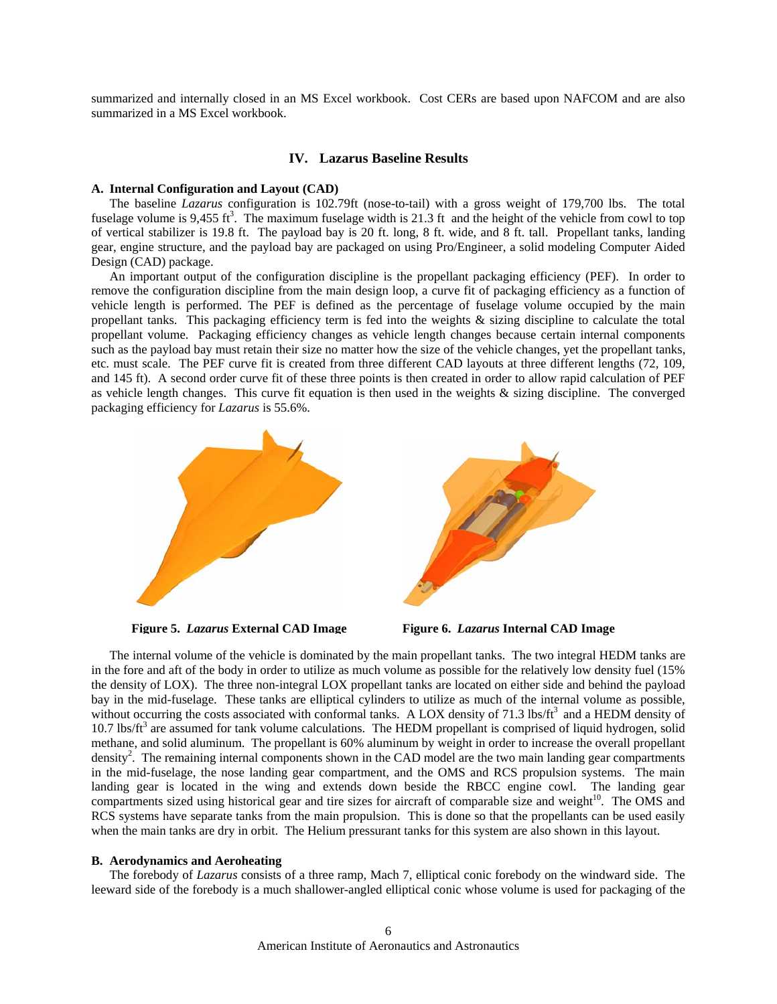summarized and internally closed in an MS Excel workbook. Cost CERs are based upon NAFCOM and are also summarized in a MS Excel workbook.

# **IV. Lazarus Baseline Results**

# **A. Internal Configuration and Layout (CAD)**

 The baseline *Lazarus* configuration is 102.79ft (nose-to-tail) with a gross weight of 179,700 lbs. The total fuselage volume is 9,455 ft<sup>3</sup>. The maximum fuselage width is 21.3 ft and the height of the vehicle from cowl to top of vertical stabilizer is 19.8 ft. The payload bay is 20 ft. long, 8 ft. wide, and 8 ft. tall. Propellant tanks, landing gear, engine structure, and the payload bay are packaged on using Pro/Engineer, a solid modeling Computer Aided Design (CAD) package.

An important output of the configuration discipline is the propellant packaging efficiency (PEF). In order to remove the configuration discipline from the main design loop, a curve fit of packaging efficiency as a function of vehicle length is performed. The PEF is defined as the percentage of fuselage volume occupied by the main propellant tanks. This packaging efficiency term is fed into the weights & sizing discipline to calculate the total propellant volume. Packaging efficiency changes as vehicle length changes because certain internal components such as the payload bay must retain their size no matter how the size of the vehicle changes, yet the propellant tanks, etc. must scale. The PEF curve fit is created from three different CAD layouts at three different lengths (72, 109, and 145 ft). A second order curve fit of these three points is then created in order to allow rapid calculation of PEF as vehicle length changes. This curve fit equation is then used in the weights  $\&$  sizing discipline. The converged packaging efficiency for *Lazarus* is 55.6%.



**Figure 5.** *Lazarus* **External CAD Image Figure 6.** *Lazarus* **Internal CAD Image** 

The internal volume of the vehicle is dominated by the main propellant tanks. The two integral HEDM tanks are in the fore and aft of the body in order to utilize as much volume as possible for the relatively low density fuel (15% the density of LOX). The three non-integral LOX propellant tanks are located on either side and behind the payload bay in the mid-fuselage. These tanks are elliptical cylinders to utilize as much of the internal volume as possible, without occurring the costs associated with conformal tanks. A LOX density of  $71.3$  lbs/ft<sup>3</sup> and a HEDM density of  $10.7$  lbs/ft<sup>3</sup> are assumed for tank volume calculations. The HEDM propellant is comprised of liquid hydrogen, solid methane, and solid aluminum. The propellant is 60% aluminum by weight in order to increase the overall propellant density<sup>2</sup>. The remaining internal components shown in the CAD model are the two main landing gear compartments in the mid-fuselage, the nose landing gear compartment, and the OMS and RCS propulsion systems. The main landing gear is located in the wing and extends down beside the RBCC engine cowl. The landing gear compartments sized using historical gear and tire sizes for aircraft of comparable size and weight<sup>10</sup>. The OMS and RCS systems have separate tanks from the main propulsion. This is done so that the propellants can be used easily when the main tanks are dry in orbit. The Helium pressurant tanks for this system are also shown in this layout.

# **B. Aerodynamics and Aeroheating**

The forebody of *Lazarus* consists of a three ramp, Mach 7, elliptical conic forebody on the windward side. The leeward side of the forebody is a much shallower-angled elliptical conic whose volume is used for packaging of the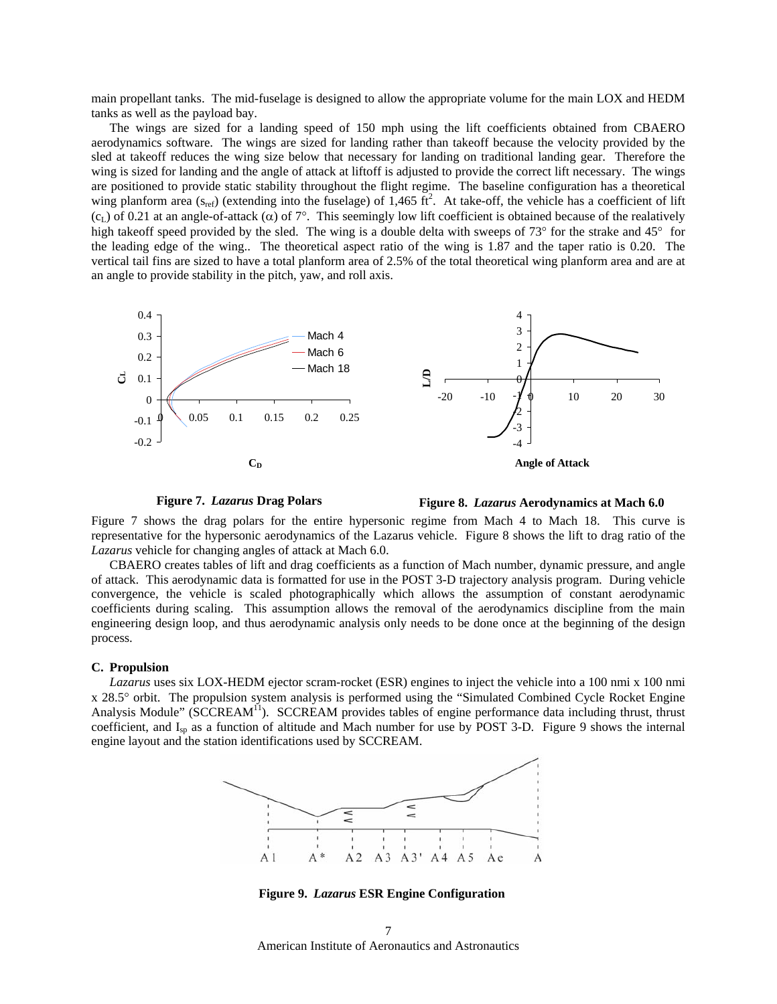main propellant tanks. The mid-fuselage is designed to allow the appropriate volume for the main LOX and HEDM tanks as well as the payload bay.

The wings are sized for a landing speed of 150 mph using the lift coefficients obtained from CBAERO aerodynamics software. The wings are sized for landing rather than takeoff because the velocity provided by the sled at takeoff reduces the wing size below that necessary for landing on traditional landing gear. Therefore the wing is sized for landing and the angle of attack at liftoff is adjusted to provide the correct lift necessary. The wings are positioned to provide static stability throughout the flight regime. The baseline configuration has a theoretical wing planform area  $(s_{ref})$  (extending into the fuselage) of 1,465 ft<sup>2</sup>. At take-off, the vehicle has a coefficient of lift (c<sub>L</sub>) of 0.21 at an angle-of-attack ( $\alpha$ ) of 7°. This seemingly low lift coefficient is obtained because of the realatively high takeoff speed provided by the sled. The wing is a double delta with sweeps of 73° for the strake and 45° for the leading edge of the wing.. The theoretical aspect ratio of the wing is 1.87 and the taper ratio is 0.20. The vertical tail fins are sized to have a total planform area of 2.5% of the total theoretical wing planform area and are at an angle to provide stability in the pitch, yaw, and roll axis.



**Figure 7.** *Lazarus* **Drag Polars** 



Figure 7 shows the drag polars for the entire hypersonic regime from Mach 4 to Mach 18. This curve is representative for the hypersonic aerodynamics of the Lazarus vehicle. Figure 8 shows the lift to drag ratio of the *Lazarus* vehicle for changing angles of attack at Mach 6.0.

CBAERO creates tables of lift and drag coefficients as a function of Mach number, dynamic pressure, and angle of attack. This aerodynamic data is formatted for use in the POST 3-D trajectory analysis program. During vehicle convergence, the vehicle is scaled photographically which allows the assumption of constant aerodynamic coefficients during scaling. This assumption allows the removal of the aerodynamics discipline from the main engineering design loop, and thus aerodynamic analysis only needs to be done once at the beginning of the design process.

#### **C. Propulsion**

*Lazarus* uses six LOX-HEDM ejector scram-rocket (ESR) engines to inject the vehicle into a 100 nmi x 100 nmi x 28.5° orbit. The propulsion system analysis is performed using the "Simulated Combined Cycle Rocket Engine Analysis Module" (SCCREAM<sup>11</sup>). SCCREAM provides tables of engine performance data including thrust, thrust coefficient, and I<sub>sp</sub> as a function of altitude and Mach number for use by POST 3-D. Figure 9 shows the internal engine layout and the station identifications used by SCCREAM.



**Figure 9.** *Lazarus* **ESR Engine Configuration** 

American Institute of Aeronautics and Astronautics 7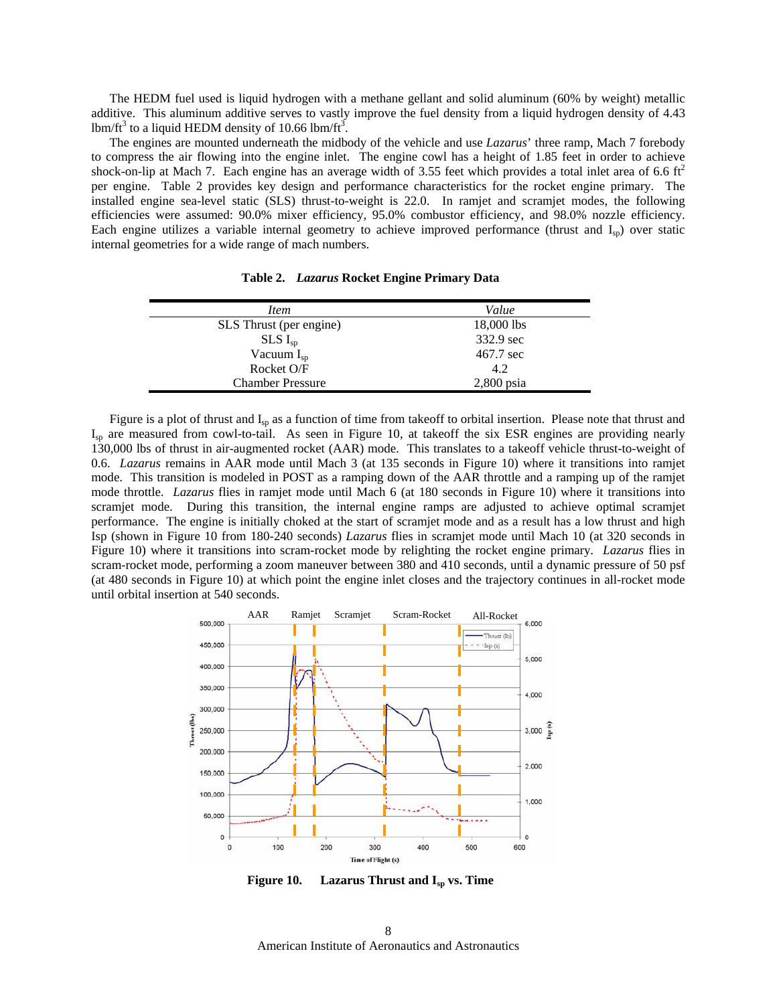The HEDM fuel used is liquid hydrogen with a methane gellant and solid aluminum (60% by weight) metallic additive. This aluminum additive serves to vastly improve the fuel density from a liquid hydrogen density of 4.43 lbm/ft<sup>3</sup> to a liquid HEDM density of 10.66 lbm/ft<sup>3</sup>.

The engines are mounted underneath the midbody of the vehicle and use *Lazarus*' three ramp, Mach 7 forebody to compress the air flowing into the engine inlet. The engine cowl has a height of 1.85 feet in order to achieve shock-on-lip at Mach 7. Each engine has an average width of 3.55 feet which provides a total inlet area of 6.6  $\text{ft}^2$ per engine. Table 2 provides key design and performance characteristics for the rocket engine primary. The installed engine sea-level static (SLS) thrust-to-weight is 22.0. In ramjet and scramjet modes, the following efficiencies were assumed: 90.0% mixer efficiency, 95.0% combustor efficiency, and 98.0% nozzle efficiency. Each engine utilizes a variable internal geometry to achieve improved performance (thrust and  $I_{sp}$ ) over static internal geometries for a wide range of mach numbers.

| Item                    | Value        |
|-------------------------|--------------|
| SLS Thrust (per engine) | 18,000 lbs   |
| $SLS I_{sp}$            | 332.9 sec    |
| Vacuum $I_{sp}$         | 467.7 sec    |
| Rocket O/F              | 4.2          |
| <b>Chamber Pressure</b> | $2,800$ psia |

**Table 2.** *Lazarus* **Rocket Engine Primary Data** 

Figure is a plot of thrust and  $I_{sp}$  as a function of time from takeoff to orbital insertion. Please note that thrust and Isp are measured from cowl-to-tail. As seen in Figure 10, at takeoff the six ESR engines are providing nearly 130,000 lbs of thrust in air-augmented rocket (AAR) mode. This translates to a takeoff vehicle thrust-to-weight of 0.6. *Lazarus* remains in AAR mode until Mach 3 (at 135 seconds in Figure 10) where it transitions into ramjet mode. This transition is modeled in POST as a ramping down of the AAR throttle and a ramping up of the ramjet mode throttle. *Lazarus* flies in ramjet mode until Mach 6 (at 180 seconds in Figure 10) where it transitions into scramjet mode. During this transition, the internal engine ramps are adjusted to achieve optimal scramjet performance. The engine is initially choked at the start of scramjet mode and as a result has a low thrust and high Isp (shown in Figure 10 from 180-240 seconds) *Lazarus* flies in scramjet mode until Mach 10 (at 320 seconds in Figure 10) where it transitions into scram-rocket mode by relighting the rocket engine primary. *Lazarus* flies in scram-rocket mode, performing a zoom maneuver between 380 and 410 seconds, until a dynamic pressure of 50 psf (at 480 seconds in Figure 10) at which point the engine inlet closes and the trajectory continues in all-rocket mode until orbital insertion at 540 seconds.



Figure 10. Lazarus Thrust and I<sub>sp</sub> vs. Time

American Institute of Aeronautics and Astronautics 8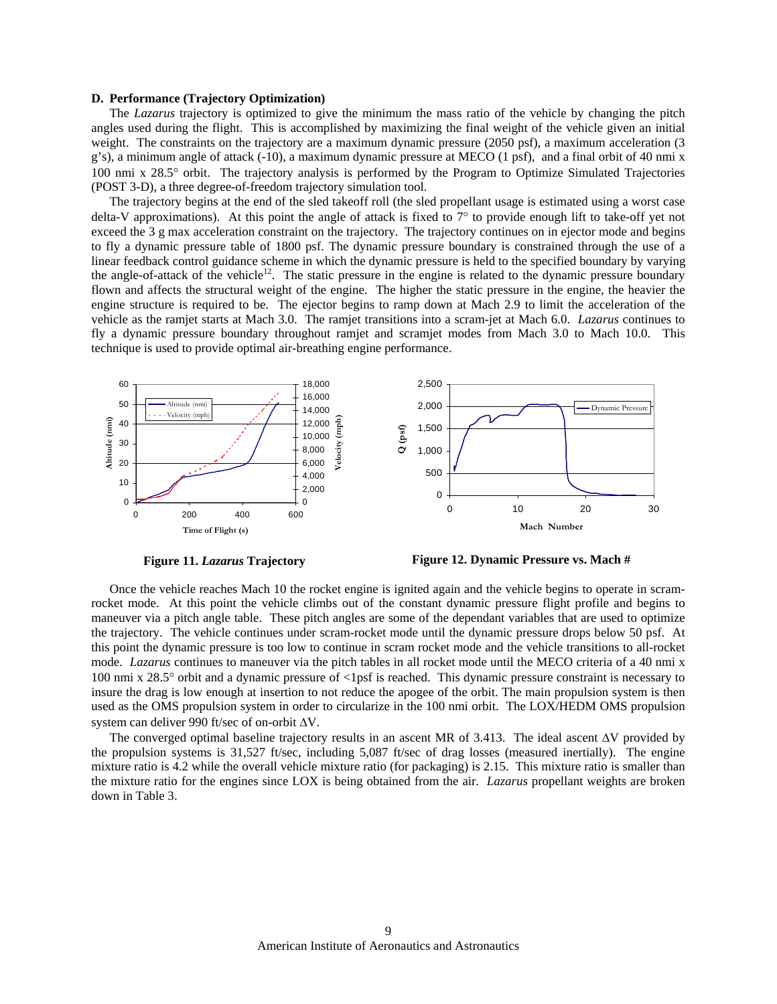### **D. Performance (Trajectory Optimization)**

The *Lazarus* trajectory is optimized to give the minimum the mass ratio of the vehicle by changing the pitch angles used during the flight. This is accomplished by maximizing the final weight of the vehicle given an initial weight. The constraints on the trajectory are a maximum dynamic pressure (2050 psf), a maximum acceleration (3 g's), a minimum angle of attack (-10), a maximum dynamic pressure at MECO (1 psf), and a final orbit of 40 nmi x 100 nmi x 28.5° orbit. The trajectory analysis is performed by the Program to Optimize Simulated Trajectories (POST 3-D), a three degree-of-freedom trajectory simulation tool.

The trajectory begins at the end of the sled takeoff roll (the sled propellant usage is estimated using a worst case delta-V approximations). At this point the angle of attack is fixed to  $7^{\circ}$  to provide enough lift to take-off yet not exceed the 3 g max acceleration constraint on the trajectory. The trajectory continues on in ejector mode and begins to fly a dynamic pressure table of 1800 psf. The dynamic pressure boundary is constrained through the use of a linear feedback control guidance scheme in which the dynamic pressure is held to the specified boundary by varying the angle-of-attack of the vehicle<sup>12</sup>. The static pressure in the engine is related to the dynamic pressure boundary flown and affects the structural weight of the engine. The higher the static pressure in the engine, the heavier the engine structure is required to be. The ejector begins to ramp down at Mach 2.9 to limit the acceleration of the vehicle as the ramjet starts at Mach 3.0. The ramjet transitions into a scram-jet at Mach 6.0. *Lazarus* continues to fly a dynamic pressure boundary throughout ramjet and scramjet modes from Mach 3.0 to Mach 10.0. This technique is used to provide optimal air-breathing engine performance.



**Figure 11.** *Lazarus* **Trajectory** 

**Figure 12. Dynamic Pressure vs. Mach #**

Once the vehicle reaches Mach 10 the rocket engine is ignited again and the vehicle begins to operate in scramrocket mode. At this point the vehicle climbs out of the constant dynamic pressure flight profile and begins to maneuver via a pitch angle table. These pitch angles are some of the dependant variables that are used to optimize the trajectory. The vehicle continues under scram-rocket mode until the dynamic pressure drops below 50 psf. At this point the dynamic pressure is too low to continue in scram rocket mode and the vehicle transitions to all-rocket mode. *Lazarus* continues to maneuver via the pitch tables in all rocket mode until the MECO criteria of a 40 nmi x 100 nmi x 28.5° orbit and a dynamic pressure of <1psf is reached. This dynamic pressure constraint is necessary to insure the drag is low enough at insertion to not reduce the apogee of the orbit. The main propulsion system is then used as the OMS propulsion system in order to circularize in the 100 nmi orbit. The LOX/HEDM OMS propulsion system can deliver 990 ft/sec of on-orbit ∆V.

The converged optimal baseline trajectory results in an ascent MR of 3.413. The ideal ascent ∆V provided by the propulsion systems is 31,527 ft/sec, including 5,087 ft/sec of drag losses (measured inertially). The engine mixture ratio is 4.2 while the overall vehicle mixture ratio (for packaging) is 2.15. This mixture ratio is smaller than the mixture ratio for the engines since LOX is being obtained from the air. *Lazarus* propellant weights are broken down in Table 3.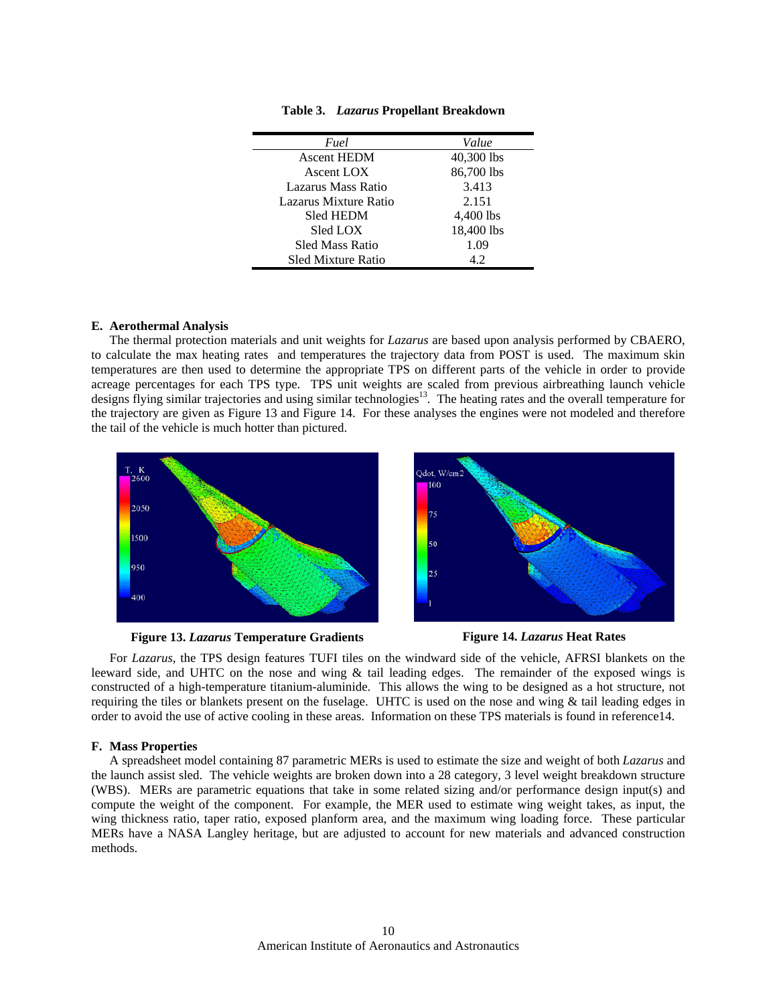| Fuel                      | Value      |
|---------------------------|------------|
| <b>Ascent HEDM</b>        | 40,300 lbs |
| Ascent LOX                | 86,700 lbs |
| Lazarus Mass Ratio        | 3.413      |
| Lazarus Mixture Ratio     | 2.151      |
| <b>Sled HEDM</b>          | 4,400 lbs  |
| Sled LOX                  | 18,400 lbs |
| <b>Sled Mass Ratio</b>    | 1.09       |
| <b>Sled Mixture Ratio</b> | 4.2        |
|                           |            |

**Table 3.** *Lazarus* **Propellant Breakdown** 

# **E. Aerothermal Analysis**

The thermal protection materials and unit weights for *Lazarus* are based upon analysis performed by CBAERO, to calculate the max heating rates and temperatures the trajectory data from POST is used. The maximum skin temperatures are then used to determine the appropriate TPS on different parts of the vehicle in order to provide acreage percentages for each TPS type. TPS unit weights are scaled from previous airbreathing launch vehicle designs flying similar trajectories and using similar technologies $13$ . The heating rates and the overall temperature for the trajectory are given as Figure 13 and Figure 14. For these analyses the engines were not modeled and therefore the tail of the vehicle is much hotter than pictured.



**Figure 13.** *Lazarus* **Temperature Gradients Figure 14.** *Lazarus* **Heat Rates** 



For *Lazarus*, the TPS design features TUFI tiles on the windward side of the vehicle, AFRSI blankets on the leeward side, and UHTC on the nose and wing & tail leading edges. The remainder of the exposed wings is constructed of a high-temperature titanium-aluminide. This allows the wing to be designed as a hot structure, not requiring the tiles or blankets present on the fuselage. UHTC is used on the nose and wing & tail leading edges in order to avoid the use of active cooling in these areas. Information on these TPS materials is found in reference14.

### **F. Mass Properties**

A spreadsheet model containing 87 parametric MERs is used to estimate the size and weight of both *Lazarus* and the launch assist sled. The vehicle weights are broken down into a 28 category, 3 level weight breakdown structure (WBS). MERs are parametric equations that take in some related sizing and/or performance design input(s) and compute the weight of the component. For example, the MER used to estimate wing weight takes, as input, the wing thickness ratio, taper ratio, exposed planform area, and the maximum wing loading force. These particular MERs have a NASA Langley heritage, but are adjusted to account for new materials and advanced construction methods.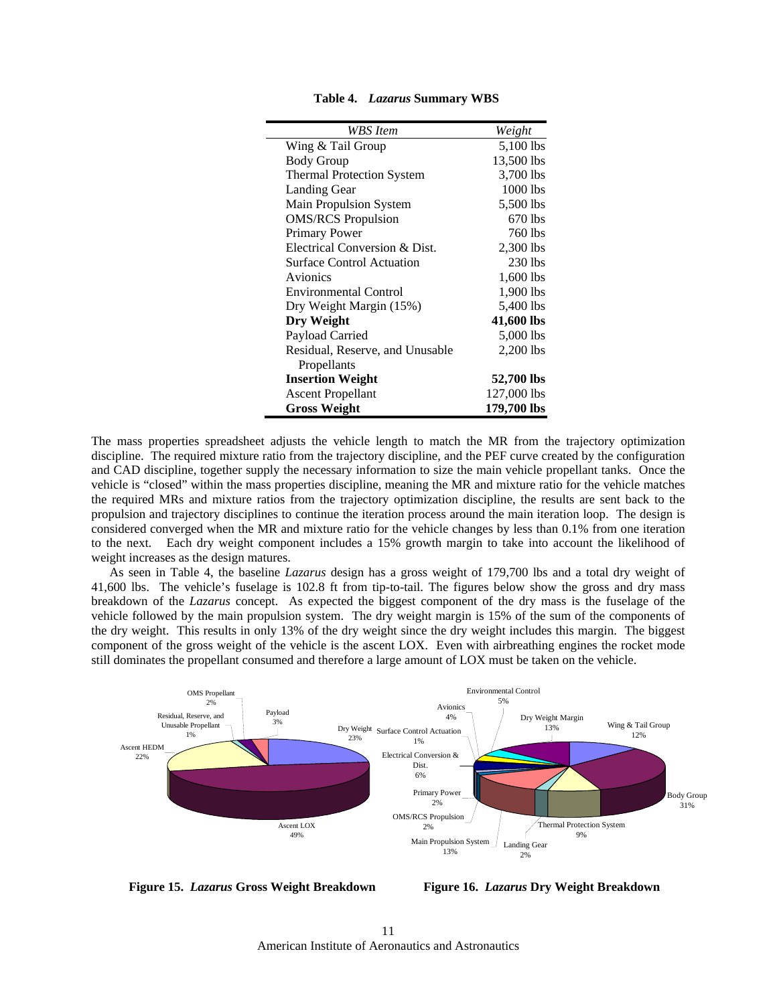| WBS Item                         | Weight      |
|----------------------------------|-------------|
| Wing & Tail Group                | 5,100 lbs   |
| <b>Body Group</b>                | 13,500 lbs  |
| <b>Thermal Protection System</b> | 3,700 lbs   |
| Landing Gear                     | $1000$ lbs  |
| <b>Main Propulsion System</b>    | 5,500 lbs   |
| <b>OMS/RCS</b> Propulsion        | 670 lbs     |
| Primary Power                    | 760 lbs     |
| Electrical Conversion & Dist.    | 2,300 lbs   |
| <b>Surface Control Actuation</b> | $230$ lbs   |
| Avionics                         | 1,600 lbs   |
| Environmental Control            | 1,900 lbs   |
| Dry Weight Margin (15%)          | 5,400 lbs   |
| Dry Weight                       | 41,600 lbs  |
| Payload Carried                  | 5,000 lbs   |
| Residual, Reserve, and Unusable  | 2,200 lbs   |
| Propellants                      |             |
| <b>Insertion Weight</b>          | 52,700 lbs  |
| <b>Ascent Propellant</b>         | 127,000 lbs |
| Gross Weight                     | 179,700 lbs |

**Table 4.** *Lazarus* **Summary WBS** 

The mass properties spreadsheet adjusts the vehicle length to match the MR from the trajectory optimization discipline. The required mixture ratio from the trajectory discipline, and the PEF curve created by the configuration and CAD discipline, together supply the necessary information to size the main vehicle propellant tanks. Once the vehicle is "closed" within the mass properties discipline, meaning the MR and mixture ratio for the vehicle matches the required MRs and mixture ratios from the trajectory optimization discipline, the results are sent back to the propulsion and trajectory disciplines to continue the iteration process around the main iteration loop. The design is considered converged when the MR and mixture ratio for the vehicle changes by less than 0.1% from one iteration to the next. Each dry weight component includes a 15% growth margin to take into account the likelihood of weight increases as the design matures.

As seen in Table 4, the baseline *Lazarus* design has a gross weight of 179,700 lbs and a total dry weight of 41,600 lbs. The vehicle's fuselage is 102.8 ft from tip-to-tail. The figures below show the gross and dry mass breakdown of the *Lazarus* concept. As expected the biggest component of the dry mass is the fuselage of the vehicle followed by the main propulsion system. The dry weight margin is 15% of the sum of the components of the dry weight. This results in only 13% of the dry weight since the dry weight includes this margin. The biggest component of the gross weight of the vehicle is the ascent LOX. Even with airbreathing engines the rocket mode still dominates the propellant consumed and therefore a large amount of LOX must be taken on the vehicle.



**Figure 15.** *Lazarus* **Gross Weight Breakdown** 

**Figure 16.** *Lazarus* **Dry Weight Breakdown**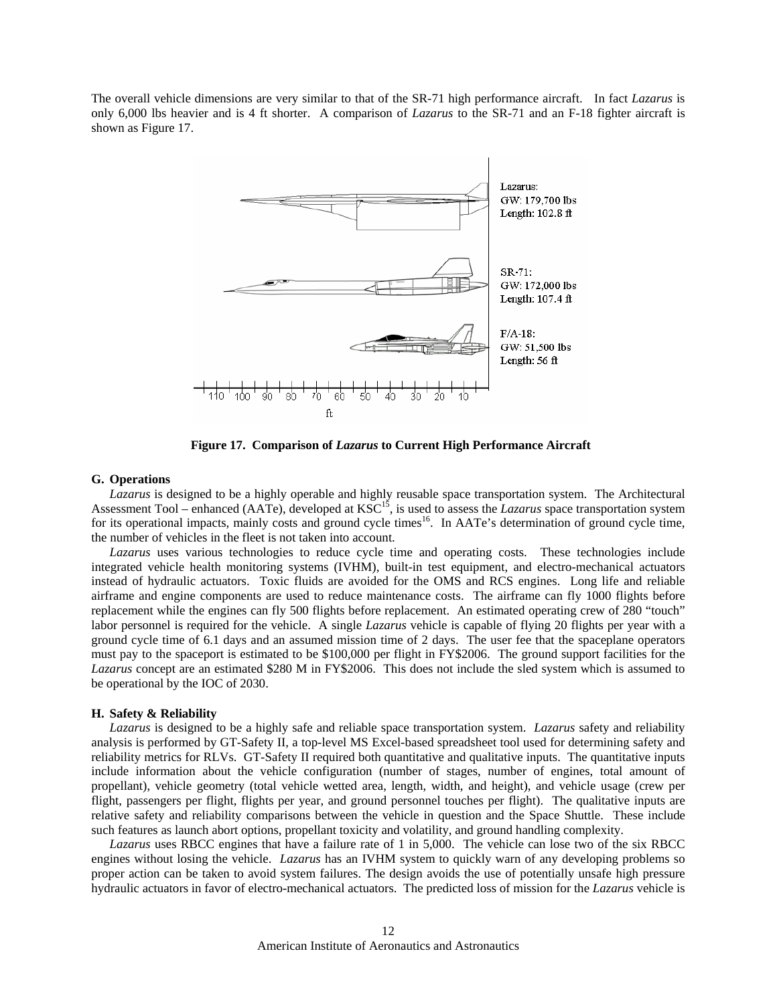The overall vehicle dimensions are very similar to that of the SR-71 high performance aircraft. In fact *Lazarus* is only 6,000 lbs heavier and is 4 ft shorter. A comparison of *Lazarus* to the SR-71 and an F-18 fighter aircraft is shown as Figure 17.



**Figure 17. Comparison of** *Lazarus* **to Current High Performance Aircraft** 

### **G. Operations**

*Lazarus* is designed to be a highly operable and highly reusable space transportation system. The Architectural Assessment Tool – enhanced (AATe), developed at KSC<sup>15</sup>, is used to assess the *Lazarus* space transportation system for its operational impacts, mainly costs and ground cycle times<sup>16</sup>. In AATe's determination of ground cycle time, the number of vehicles in the fleet is not taken into account.

*Lazarus* uses various technologies to reduce cycle time and operating costs. These technologies include integrated vehicle health monitoring systems (IVHM), built-in test equipment, and electro-mechanical actuators instead of hydraulic actuators. Toxic fluids are avoided for the OMS and RCS engines. Long life and reliable airframe and engine components are used to reduce maintenance costs. The airframe can fly 1000 flights before replacement while the engines can fly 500 flights before replacement. An estimated operating crew of 280 "touch" labor personnel is required for the vehicle. A single *Lazarus* vehicle is capable of flying 20 flights per year with a ground cycle time of 6.1 days and an assumed mission time of 2 days. The user fee that the spaceplane operators must pay to the spaceport is estimated to be \$100,000 per flight in FY\$2006. The ground support facilities for the *Lazarus* concept are an estimated \$280 M in FY\$2006. This does not include the sled system which is assumed to be operational by the IOC of 2030.

### **H. Safety & Reliability**

*Lazarus* is designed to be a highly safe and reliable space transportation system. *Lazarus* safety and reliability analysis is performed by GT-Safety II, a top-level MS Excel-based spreadsheet tool used for determining safety and reliability metrics for RLVs. GT-Safety II required both quantitative and qualitative inputs. The quantitative inputs include information about the vehicle configuration (number of stages, number of engines, total amount of propellant), vehicle geometry (total vehicle wetted area, length, width, and height), and vehicle usage (crew per flight, passengers per flight, flights per year, and ground personnel touches per flight). The qualitative inputs are relative safety and reliability comparisons between the vehicle in question and the Space Shuttle. These include such features as launch abort options, propellant toxicity and volatility, and ground handling complexity.

*Lazarus* uses RBCC engines that have a failure rate of 1 in 5,000. The vehicle can lose two of the six RBCC engines without losing the vehicle. *Lazarus* has an IVHM system to quickly warn of any developing problems so proper action can be taken to avoid system failures. The design avoids the use of potentially unsafe high pressure hydraulic actuators in favor of electro-mechanical actuators. The predicted loss of mission for the *Lazarus* vehicle is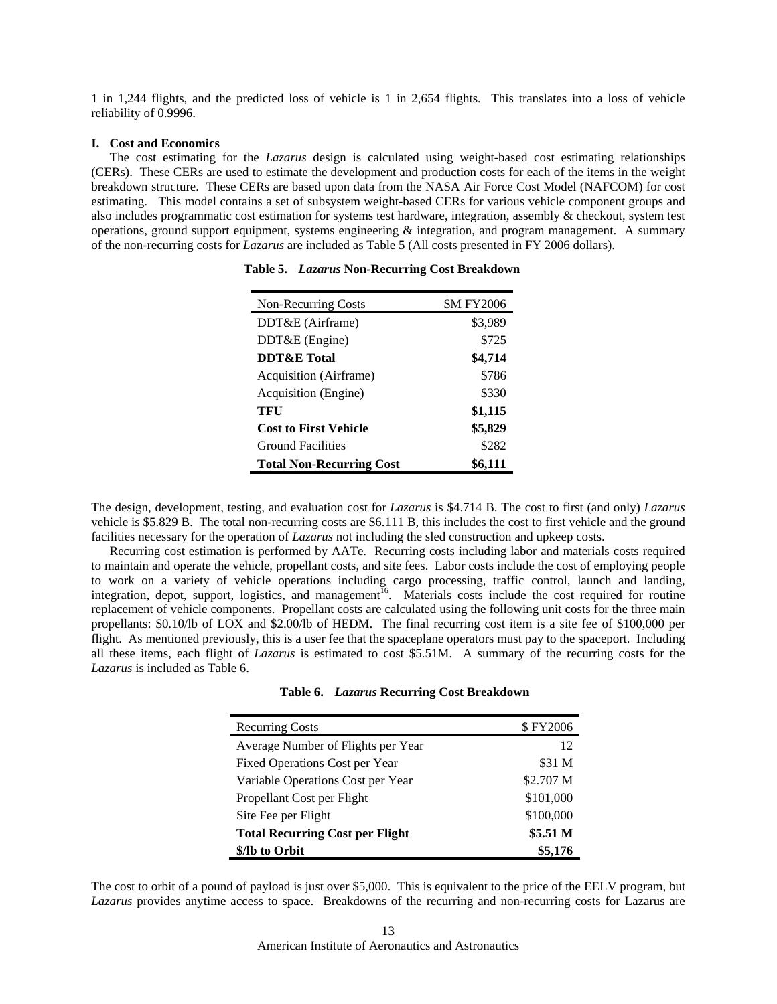1 in 1,244 flights, and the predicted loss of vehicle is 1 in 2,654 flights. This translates into a loss of vehicle reliability of 0.9996.

### **I. Cost and Economics**

 The cost estimating for the *Lazarus* design is calculated using weight-based cost estimating relationships (CERs). These CERs are used to estimate the development and production costs for each of the items in the weight breakdown structure. These CERs are based upon data from the NASA Air Force Cost Model (NAFCOM) for cost estimating. This model contains a set of subsystem weight-based CERs for various vehicle component groups and also includes programmatic cost estimation for systems test hardware, integration, assembly & checkout, system test operations, ground support equipment, systems engineering  $\&$  integration, and program management. A summary of the non-recurring costs for *Lazarus* are included as Table 5 (All costs presented in FY 2006 dollars).

| <b>Non-Recurring Costs</b>      | <b>\$M FY2006</b> |
|---------------------------------|-------------------|
| DDT&E (Airframe)                | \$3,989           |
| DDT&E (Engine)                  | \$725             |
| <b>DDT&amp;E</b> Total          | \$4,714           |
| Acquisition (Airframe)          | \$786             |
| Acquisition (Engine)            | \$330             |
| TFU                             | \$1,115           |
| <b>Cost to First Vehicle</b>    | \$5,829           |
| <b>Ground Facilities</b>        | \$282             |
| <b>Total Non-Recurring Cost</b> | \$6,111           |

**Table 5.** *Lazarus* **Non-Recurring Cost Breakdown** 

The design, development, testing, and evaluation cost for *Lazarus* is \$4.714 B. The cost to first (and only) *Lazarus*  vehicle is \$5.829 B. The total non-recurring costs are \$6.111 B, this includes the cost to first vehicle and the ground facilities necessary for the operation of *Lazarus* not including the sled construction and upkeep costs.

Recurring cost estimation is performed by AATe. Recurring costs including labor and materials costs required to maintain and operate the vehicle, propellant costs, and site fees. Labor costs include the cost of employing people to work on a variety of vehicle operations including cargo processing, traffic control, launch and landing, integration, depot, support, logistics, and management<sup>16</sup>. Materials costs include the cost required for routine replacement of vehicle components. Propellant costs are calculated using the following unit costs for the three main propellants: \$0.10/lb of LOX and \$2.00/lb of HEDM. The final recurring cost item is a site fee of \$100,000 per flight. As mentioned previously, this is a user fee that the spaceplane operators must pay to the spaceport. Including all these items, each flight of *Lazarus* is estimated to cost \$5.51M. A summary of the recurring costs for the *Lazarus* is included as Table 6.

| <b>Recurring Costs</b>                 | \$FY2006  |
|----------------------------------------|-----------|
| Average Number of Flights per Year     | 12        |
| <b>Fixed Operations Cost per Year</b>  | \$31 M    |
| Variable Operations Cost per Year      | \$2.707 M |
| Propellant Cost per Flight             | \$101,000 |
| Site Fee per Flight                    | \$100,000 |
| <b>Total Recurring Cost per Flight</b> | \$5.51 M  |
| \$/lb to Orbit                         | \$5,176   |

The cost to orbit of a pound of payload is just over \$5,000. This is equivalent to the price of the EELV program, but *Lazarus* provides anytime access to space. Breakdowns of the recurring and non-recurring costs for Lazarus are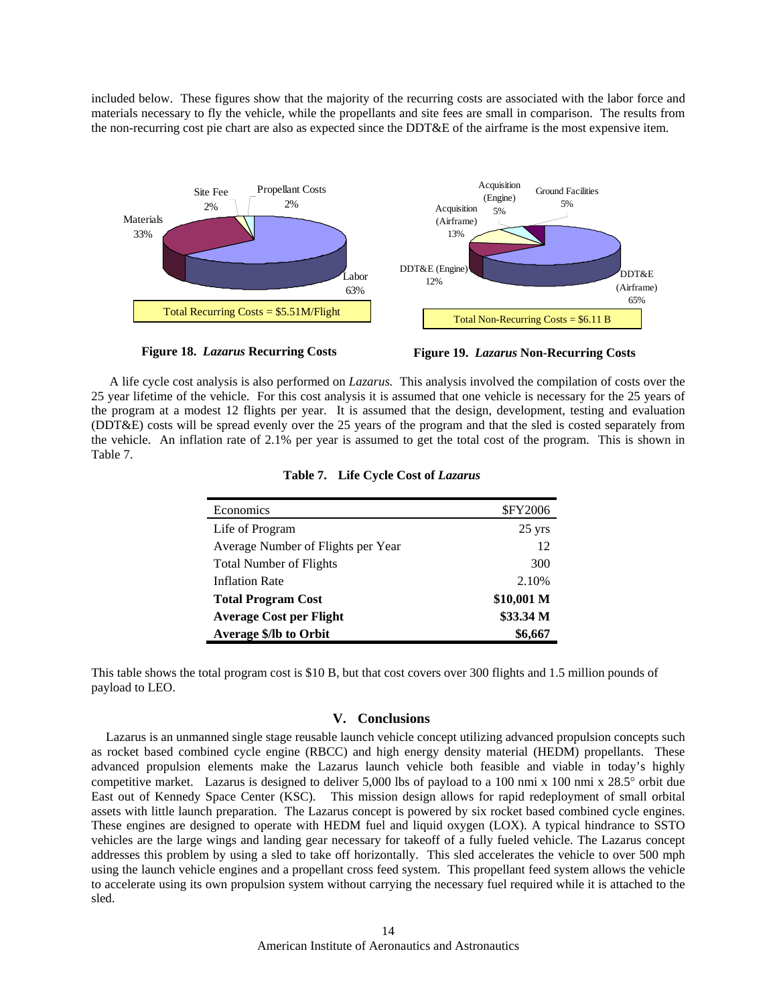included below. These figures show that the majority of the recurring costs are associated with the labor force and materials necessary to fly the vehicle, while the propellants and site fees are small in comparison. The results from the non-recurring cost pie chart are also as expected since the DDT&E of the airframe is the most expensive item.





**Figure 19.** *Lazarus* **Non-Recurring Costs** 

A life cycle cost analysis is also performed on *Lazarus.* This analysis involved the compilation of costs over the 25 year lifetime of the vehicle. For this cost analysis it is assumed that one vehicle is necessary for the 25 years of the program at a modest 12 flights per year. It is assumed that the design, development, testing and evaluation (DDT&E) costs will be spread evenly over the 25 years of the program and that the sled is costed separately from the vehicle. An inflation rate of 2.1% per year is assumed to get the total cost of the program. This is shown in Table 7.

| Economics                          | <b>\$FY2006</b>  |
|------------------------------------|------------------|
| Life of Program                    | $25 \text{ yrs}$ |
| Average Number of Flights per Year | 12               |
| <b>Total Number of Flights</b>     | 300              |
| <b>Inflation Rate</b>              | 2.10%            |
| <b>Total Program Cost</b>          | \$10,001 M       |
| <b>Average Cost per Flight</b>     | \$33.34 M        |
| <b>Average \$/lb to Orbit</b>      | \$6,667          |

**Table 7. Life Cycle Cost of** *Lazarus*

This table shows the total program cost is \$10 B, but that cost covers over 300 flights and 1.5 million pounds of payload to LEO.

# **V. Conclusions**

 Lazarus is an unmanned single stage reusable launch vehicle concept utilizing advanced propulsion concepts such as rocket based combined cycle engine (RBCC) and high energy density material (HEDM) propellants. These advanced propulsion elements make the Lazarus launch vehicle both feasible and viable in today's highly competitive market. Lazarus is designed to deliver 5,000 lbs of payload to a 100 nmi x 100 nmi x 28.5° orbit due East out of Kennedy Space Center (KSC). This mission design allows for rapid redeployment of small orbital assets with little launch preparation. The Lazarus concept is powered by six rocket based combined cycle engines. These engines are designed to operate with HEDM fuel and liquid oxygen (LOX). A typical hindrance to SSTO vehicles are the large wings and landing gear necessary for takeoff of a fully fueled vehicle. The Lazarus concept addresses this problem by using a sled to take off horizontally. This sled accelerates the vehicle to over 500 mph using the launch vehicle engines and a propellant cross feed system. This propellant feed system allows the vehicle to accelerate using its own propulsion system without carrying the necessary fuel required while it is attached to the sled.